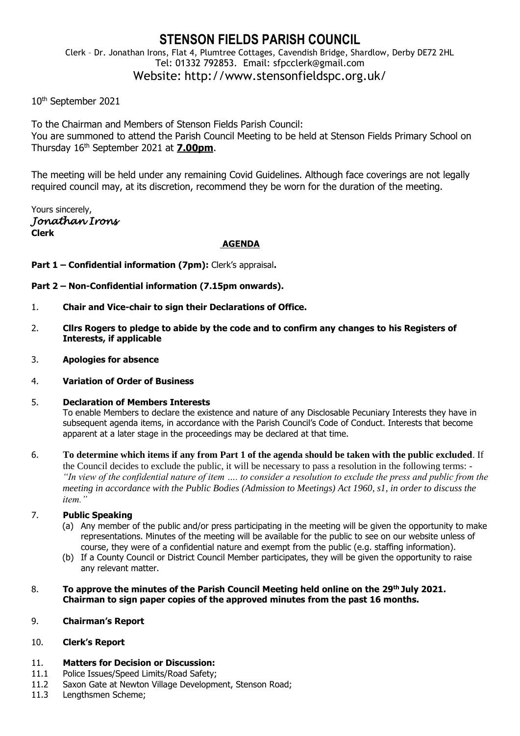# **STENSON FIELDS PARISH COUNCIL**

Clerk – Dr. Jonathan Irons, Flat 4, Plumtree Cottages, Cavendish Bridge, Shardlow, Derby DE72 2HL Tel: 01332 792853. Email: sfpcclerk@gmail.com Website: http://www.stensonfieldspc.org.uk/

## 10th September 2021

To the Chairman and Members of Stenson Fields Parish Council: You are summoned to attend the Parish Council Meeting to be held at Stenson Fields Primary School on Thursday 16th September 2021 at **7.00pm**.

The meeting will be held under any remaining Covid Guidelines. Although face coverings are not legally required council may, at its discretion, recommend they be worn for the duration of the meeting.

Yours sincerely, *Jonathan Irons*  **Clerk**

#### **AGENDA**

**Part 1 – Confidential information (7pm):** Clerk's appraisal**.**

**Part 2 – Non-Confidential information (7.15pm onwards).**

- 1. **Chair and Vice-chair to sign their Declarations of Office.**
- 2. **Cllrs Rogers to pledge to abide by the code and to confirm any changes to his Registers of Interests, if applicable**
- 3. **Apologies for absence**
- 4. **Variation of Order of Business**

#### 5. **Declaration of Members Interests**

To enable Members to declare the existence and nature of any Disclosable Pecuniary Interests they have in subsequent agenda items, in accordance with the Parish Council's Code of Conduct. Interests that become apparent at a later stage in the proceedings may be declared at that time.

6. **To determine which items if any from Part 1 of the agenda should be taken with the public excluded**. If the Council decides to exclude the public, it will be necessary to pass a resolution in the following terms: - *"In view of the confidential nature of item …. to consider a resolution to exclude the press and public from the meeting in accordance with the Public Bodies (Admission to Meetings) Act 1960, s1, in order to discuss the item."* 

## 7. **Public Speaking**

- (a) Any member of the public and/or press participating in the meeting will be given the opportunity to make representations. Minutes of the meeting will be available for the public to see on our website unless of course, they were of a confidential nature and exempt from the public (e.g. staffing information).
- (b) If a County Council or District Council Member participates, they will be given the opportunity to raise any relevant matter.

#### 8. **To approve the minutes of the Parish Council Meeting held online on the 29th July 2021. Chairman to sign paper copies of the approved minutes from the past 16 months.**

#### 9. **Chairman's Report**

#### 10. **Clerk's Report**

## 11. **Matters for Decision or Discussion:**

- 11.1 Police Issues/Speed Limits/Road Safety;
- 11.2 Saxon Gate at Newton Village Development, Stenson Road;
- 11.3 Lengthsmen Scheme;